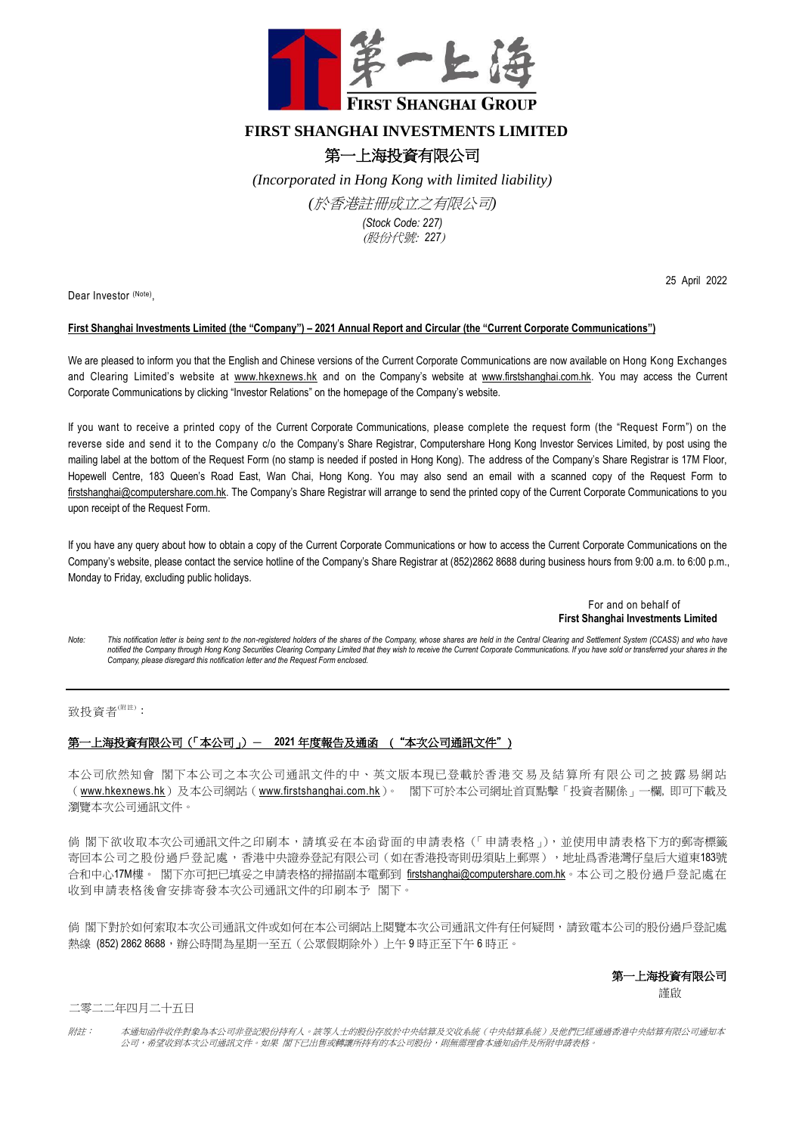

## **FIRST SHANGHAI INVESTMENTS LIMITED**

## 第一上海投資有限公司

*(Incorporated in Hong Kong with limited liability)* 

*(*於香港註冊成立之有限公司*)*

*(Stock Code: 227)* (股份代號: *227*)

Dear Investor (Note),

25 April 2022

## **First Shanghai Investments Limited (the "Company") – 2021 Annual Report and Circular (the "Current Corporate Communications")**

We are pleased to inform you that the English and Chinese versions of the Current Corporate Communications are now available on Hong Kong Exchanges and Clearing Limited's website at [www.hkexnews.hk](http://www.hkexnews.hk/) and on the Company's website at [www.firstshanghai.com.hk.](http://www.firstshanghai.com.hk/) You may access the Current Corporate Communications by clicking "Investor Relations" on the homepage of the Company's website.

If you want to receive a printed copy of the Current Corporate Communications, please complete the request form (the "Request Form") on the reverse side and send it to the Company c/o the Company's Share Registrar, Computershare Hong Kong Investor Services Limited, by post using the mailing label at the bottom of the Request Form (no stamp is needed if posted in Hong Kong). The address of the Company's Share Registrar is 17M Floor, Hopewell Centre, 183 Queen's Road East, Wan Chai, Hong Kong. You may also send an email with a scanned copy of the Request Form to [firstshanghai@computershare.com.hk.](mailto:firstshanghai@computershare.com.hk) The Company's Share Registrar will arrange to send the printed copy of the Current Corporate Communications to you upon receipt of the Request Form.

If you have any query about how to obtain a copy of the Current Corporate Communications or how to access the Current Corporate Communications on the Company's website, please contact the service hotline of the Company's Share Registrar at (852)2862 8688 during business hours from 9:00 a.m. to 6:00 p.m., Monday to Friday, excluding public holidays.

> For and on behalf of **First Shanghai Investments Limited**

*Note: This notification letter is being sent to the non-registered holders of the shares of the Company, whose shares are held in the Central Clearing and Settlement System (CCASS) and who have*  notified the Company through Hong Kong Securities Clearing Company Limited that they wish to receive the Current Corporate Communications. If you have sold or transferred your shares in the *Company, please disregard this notification letter and the Request Form enclosed.*

致投資者(附註):

## 第一上海投資有限公司(「本公司」)- **2021** 年度報告及通函 ("本次公司通訊文件")

本公司欣然知會 閣下本公司之本次公司通訊文件的中、英文版本現已登載於香港交 易 及 結 算 所 有 限 公 司 之 披 露 易 網 站 ([www.hkexnews.hk](https://www.hkexnews.hk/index_c.htm))及本公司網站([www.firstshanghai.com.hk](http://www.firstshanghai.com.hk/zh-hant/))。 閣下可於本公司網址首頁點擊「投資者關係」一欄, 即可下載及 瀏覽本次公司通訊文件。

倘 閣下欲收取本次公司通訊文件之印刷本,請填妥在本函背面的申請表格(「申請表格」), 並使用申請表格下方的郵寄標籤 寄回本公司之股份過戶登記處,香港中央證券登記有限公司(如在香港投寄則毋須貼上郵票),地址爲香港灣仔皇后大道東183號 合和中心17M樓。 閣下亦可把已填妥之申請表格的掃描副本電郵到 [firstshanghai@computershare.com.hk](mailto:firstshanghai@computershare.com.hk)。本公司之股份過戶登記處在 收到申請表格後會安排寄發本次公司通訊文件的印刷本予 閣下。

倘 閣下對於如何索取本次公司通訊文件或如何在本公司網站上閱覽本次公司通訊文件有任何疑問,請致電本公司的股份過戶登記處 熱線 (852) 2862 8688,辦公時間為星期一至五(公眾假期除外)上午9時正至下午6時正。

第一上海投資有限公司

この こうしょう こうしょう こうしょう にんこう 謹啟

二零二二年四月二十五日

附註: 本通知函件收件對象為本公司非登記股份持有人。該等人士的股份存放於中央結算及交收系統(中央結算系統)及他們已經通過香港中央結算有限公司通知本 公司,希望收到本次公司通訊文件。如果 閣下已出售或轉讓所持有的本公司股份,則無需理會本通知函件及所附申請表格